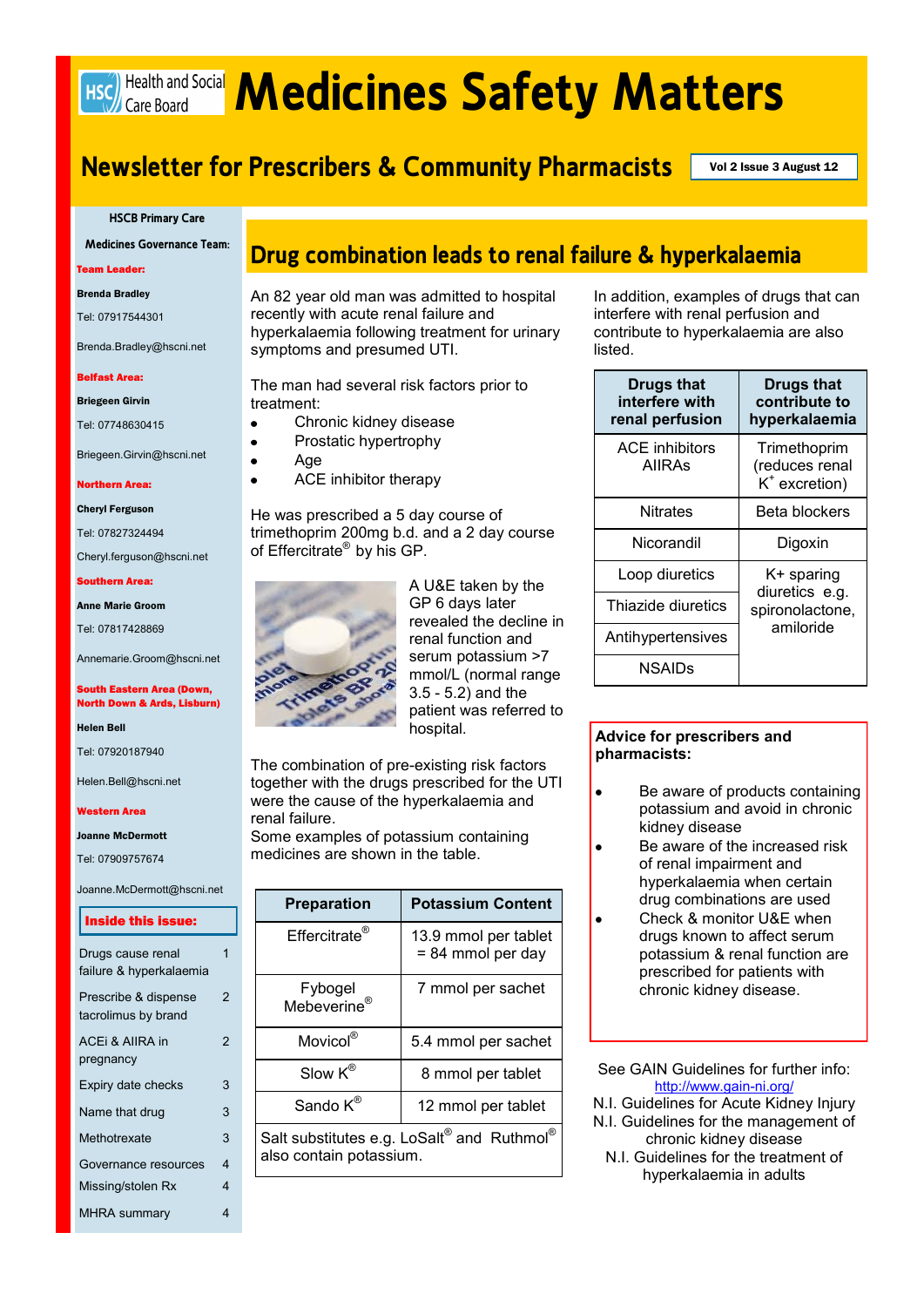# **HSC) Health and Social Medicines Safety Matters**

# **Newsletter for Prescribers & Community Pharmacists** Vol 2 Issue 3 August 12

#### **HSCB Primary Care**

**Medicines Governance Team:**

Team Leader:

#### Brenda Bradley

Tel: 07917544301

Brenda.Bradley@hscni.net

#### Belfast Area:

Briegeen Girvin

Tel: 07748630415

Briegeen.Girvin@hscni.net

#### Northern Area:

Cheryl Ferguson

Tel: 07827324494

Cheryl.ferguson@hscni.net

Southern Area:

Anne Marie Groom

Tel: 07817428869

Annemarie.Groom@hscni.net

#### South Eastern Area (Down, North Down & Ards, Lisburn)

Helen Bell

Tel: 07920187940

Helen.Bell@hscni.net

#### Western Area

Joanne McDermott

Tel: 07909757674

Joanne.McDermott@hscni.net

#### Inside this issue:

| Drugs cause renal       | 1 |
|-------------------------|---|
| failure & hyperkalaemia |   |
| Prescribe & dispense    | 2 |
| tacrolimus by brand     |   |
| ACEI & AIIRA in         | 2 |
| pregnancy               |   |
| Expiry date checks      | 3 |
|                         |   |
| Name that drug          | 3 |
| Methotrexate            | 3 |
| Governance resources    | 4 |
| Missing/stolen Rx       | 4 |
| <b>MHRA</b> summary     | 4 |
|                         |   |

# **Drug combination leads to renal failure & hyperkalaemia**

An 82 year old man was admitted to hospital recently with acute renal failure and hyperkalaemia following treatment for urinary symptoms and presumed UTI.

The man had several risk factors prior to treatment:

- Chronic kidney disease
- Prostatic hypertrophy
- Age  $\bullet$

 $\bullet$  $\bullet$ 

ACE inhibitor therapy  $\bullet$ 

He was prescribed a 5 day course of trimethoprim 200mg b.d. and a 2 day course of Effercitrate® by his GP.



A U&E taken by the GP 6 days later revealed the decline in renal function and serum potassium >7 mmol/L (normal range 3.5 - 5.2) and the patient was referred to hospital.

The combination of pre-existing risk factors together with the drugs prescribed for the UTI were the cause of the hyperkalaemia and renal failure.

Some examples of potassium containing medicines are shown in the table.

| <b>Preparation</b>                                                                            | <b>Potassium Content</b>                    |  |
|-----------------------------------------------------------------------------------------------|---------------------------------------------|--|
| Effercitrate <sup>®</sup>                                                                     | 13.9 mmol per tablet<br>$= 84$ mmol per day |  |
| Fybogel<br>Mebeverine <sup>®</sup>                                                            | 7 mmol per sachet                           |  |
| Movicol®                                                                                      | 5.4 mmol per sachet                         |  |
| Slow $K^{\circledR}$                                                                          | 8 mmol per tablet                           |  |
| Sando $K^{\otimes}$                                                                           | 12 mmol per tablet                          |  |
| Salt substitutes e.g. LoSalt <sup>®</sup> and Ruthmol <sup>®</sup><br>also contain potassium. |                                             |  |

In addition, examples of drugs that can interfere with renal perfusion and contribute to hyperkalaemia are also listed.

| <b>Drugs that</b><br>interfere with<br>renal perfusion | <b>Drugs that</b><br>contribute to<br>hyperkalaemia          |  |
|--------------------------------------------------------|--------------------------------------------------------------|--|
| ACE inhibitors<br><b>AIIRAS</b>                        | Trimethoprim<br>(reduces renal<br>$K^*$ excretion)           |  |
| <b>Nitrates</b>                                        | Beta blockers                                                |  |
| Nicorandil                                             | Digoxin                                                      |  |
| Loop diuretics                                         | K+ sparing<br>diuretics e.g.<br>spironolactone,<br>amiloride |  |
| Thiazide diuretics                                     |                                                              |  |
| Antihypertensives                                      |                                                              |  |
| NSAIDs                                                 |                                                              |  |

### **Advice for prescribers and pharmacists:**

- Be aware of products containing potassium and avoid in chronic kidney disease
- Be aware of the increased risk  $\bullet$ of renal impairment and hyperkalaemia when certain drug combinations are used
- Check & monitor U&E when drugs known to affect serum potassium & renal function are prescribed for patients with chronic kidney disease.
- See GAIN Guidelines for further info: http://www.gain-ni.org/
- N.I. Guidelines for Acute Kidney Injury N.I. Guidelines for the management of
	- chronic kidney disease N.I. Guidelines for the treatment of
		- hyperkalaemia in adults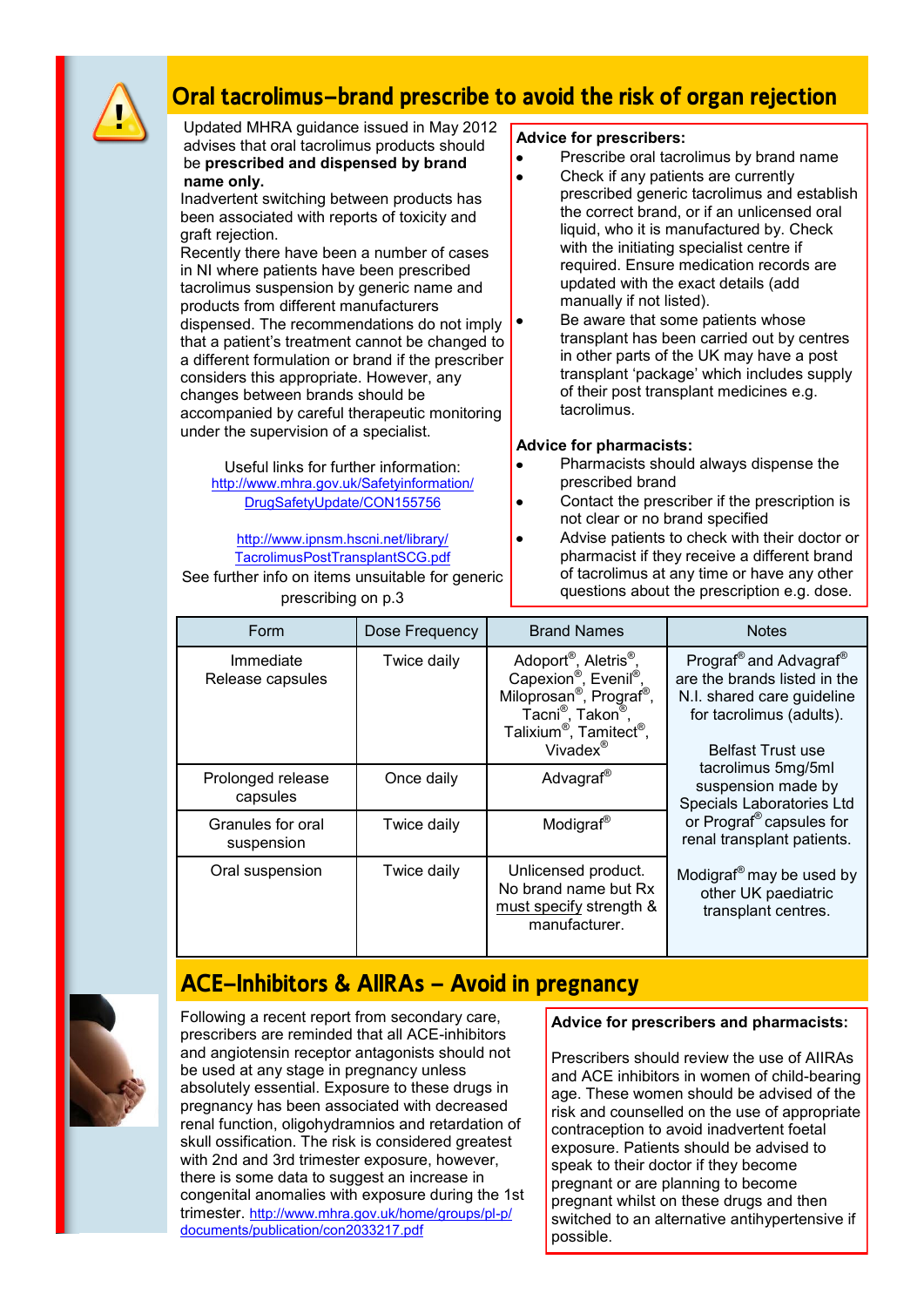

# **Oral tacrolimus—brand prescribe to avoid the risk of organ rejection**

Updated MHRA guidance issued in May 2012 advises that oral tacrolimus products should be **prescribed and dispensed by brand name only.**

Inadvertent switching between products has been associated with reports of toxicity and graft rejection.

Recently there have been a number of cases in NI where patients have been prescribed tacrolimus suspension by generic name and products from different manufacturers dispensed. The recommendations do not imply that a patient"s treatment cannot be changed to a different formulation or brand if the prescriber considers this appropriate. However, any changes between brands should be accompanied by careful therapeutic monitoring under the supervision of a specialist.

Useful links for further information: [http://www.mhra.gov.uk/Safetyinformation/](http://www.mhra.gov.uk/Safetyinformation/DrugSafetyUpdate/CON155756) [DrugSafetyUpdate/CON155756](http://www.mhra.gov.uk/Safetyinformation/DrugSafetyUpdate/CON155756)

[http://www.ipnsm.hscni.net/library/](http://www.ipnsm.hscni.net/library/TacrolimusPostTransplantSCG.pdf) [TacrolimusPostTransplantSCG.pdf](http://www.ipnsm.hscni.net/library/TacrolimusPostTransplantSCG.pdf) See further info on items unsuitable for generic prescribing on p.3

### **Advice for prescribers:**

- Prescribe oral tacrolimus by brand name  $\bullet$
- $\bullet$ Check if any patients are currently prescribed generic tacrolimus and establish the correct brand, or if an unlicensed oral liquid, who it is manufactured by. Check with the initiating specialist centre if required. Ensure medication records are updated with the exact details (add manually if not listed).
	- Be aware that some patients whose transplant has been carried out by centres in other parts of the UK may have a post transplant "package" which includes supply of their post transplant medicines e.g. tacrolimus.

### **Advice for pharmacists:**

- Pharmacists should always dispense the prescribed brand
- Contact the prescriber if the prescription is not clear or no brand specified
- Advise patients to check with their doctor or pharmacist if they receive a different brand of tacrolimus at any time or have any other questions about the prescription e.g. dose.

| Form                            | Dose Frequency | <b>Brand Names</b>                                                                                                                                                                                                                                                         | <b>Notes</b>                                                                                                                                                         |
|---------------------------------|----------------|----------------------------------------------------------------------------------------------------------------------------------------------------------------------------------------------------------------------------------------------------------------------------|----------------------------------------------------------------------------------------------------------------------------------------------------------------------|
| Immediate<br>Release capsules   | Twice daily    | Adoport <sup>®</sup> , Aletris <sup>®</sup> ,<br>Capexion <sup>®</sup> , Evenil <sup>®</sup> ,<br>Miloprosan <sup>®</sup> , Prograf <sup>®</sup> ,<br>Tacni <sup>®</sup> , Takon <sup>®</sup> ,<br>Talixium <sup>®</sup> , Tamitect <sup>®</sup> ,<br>Vivadex <sup>®</sup> | Prograf <sup>®</sup> and Advagraf <sup>®</sup><br>are the brands listed in the<br>N.I. shared care guideline<br>for tacrolimus (adults).<br><b>Belfast Trust use</b> |
| Prolonged release<br>capsules   | Once daily     | Advagraf <sup>®</sup>                                                                                                                                                                                                                                                      | tacrolimus 5mg/5ml<br>suspension made by<br>Specials Laboratories Ltd                                                                                                |
| Granules for oral<br>suspension | Twice daily    | Modigraf <sup>®</sup>                                                                                                                                                                                                                                                      | or Prograf <sup>®</sup> capsules for<br>renal transplant patients.                                                                                                   |
| Oral suspension                 | Twice daily    | Unlicensed product.<br>No brand name but Rx<br>must specify strength &<br>manufacturer.                                                                                                                                                                                    | Modigraf <sup>®</sup> may be used by<br>other UK paediatric<br>transplant centres.                                                                                   |

# **ACE—Inhibitors & AIIRAs — Avoid in pregnancy**



Following a recent report from secondary care, prescribers are reminded that all ACE-inhibitors and angiotensin receptor antagonists should not be used at any stage in pregnancy unless absolutely essential. Exposure to these drugs in pregnancy has been associated with decreased renal function, oligohydramnios and retardation of skull ossification. The risk is considered greatest with 2nd and 3rd trimester exposure, however, there is some data to suggest an increase in congenital anomalies with exposure during the 1st trimester. http://www.mhra.gov.uk/home/groups/pl-p/ documents/publication/con2033217.pdf

### **Advice for prescribers and pharmacists:**

Prescribers should review the use of AIIRAs and ACE inhibitors in women of child-bearing age. These women should be advised of the risk and counselled on the use of appropriate contraception to avoid inadvertent foetal exposure. Patients should be advised to speak to their doctor if they become pregnant or are planning to become pregnant whilst on these drugs and then switched to an alternative antihypertensive if possible.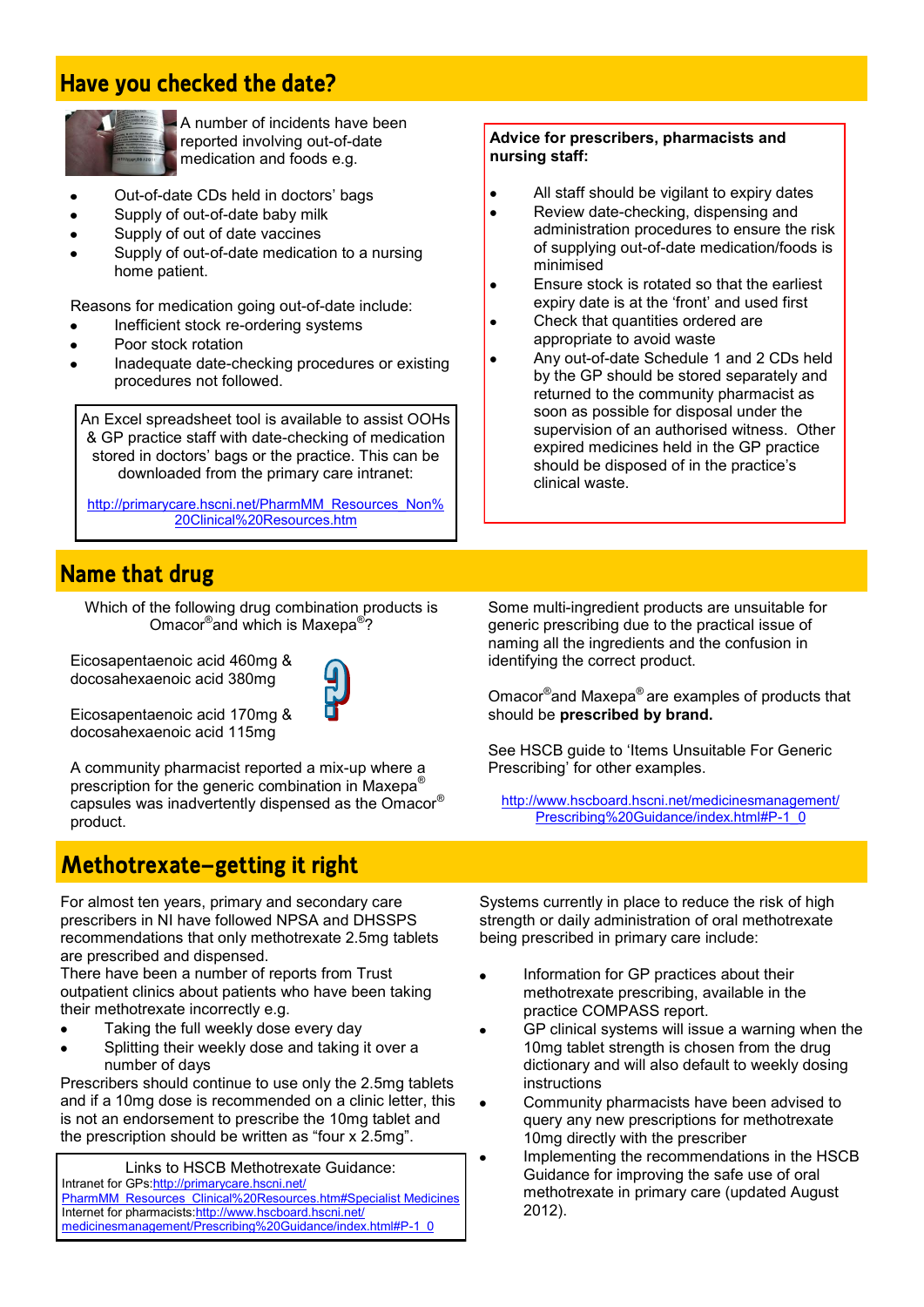# **Have you checked the date?**



A number of incidents have been reported involving out-of-date medication and foods e.g.

- Out-of-date CDs held in doctors" bags
- Supply of out-of-date baby milk
- Supply of out of date vaccines
- Supply of out-of-date medication to a nursing home patient.

Reasons for medication going out-of-date include:

- Inefficient stock re-ordering systems
- Poor stock rotation
- Inadequate date-checking procedures or existing procedures not followed.

An Excel spreadsheet tool is available to assist OOHs & GP practice staff with date-checking of medication stored in doctors' bags or the practice. This can be downloaded from the primary care intranet:

http://primarycare.hscni.net/PharmMM\_Resources\_Non% 20Clinical%20Resources.htm

# **Name that drug**

Which of the following drug combination products is Omacor<sup>®</sup>and which is Maxepa<sup>®</sup>?

Eicosapentaenoic acid 460mg & docosahexaenoic acid 380mg



Eicosapentaenoic acid 170mg & docosahexaenoic acid 115mg

A community pharmacist reported a mix-up where a prescription for the generic combination in Maxepa® capsules was inadvertently dispensed as the Omacor® product.

# **Methotrexate—getting it right**

For almost ten years, primary and secondary care prescribers in NI have followed NPSA and DHSSPS recommendations that only methotrexate 2.5mg tablets are prescribed and dispensed.

There have been a number of reports from Trust outpatient clinics about patients who have been taking their methotrexate incorrectly e.g.

- Taking the full weekly dose every day
- Splitting their weekly dose and taking it over a number of days

Prescribers should continue to use only the 2.5mg tablets and if a 10mg dose is recommended on a clinic letter, this is not an endorsement to prescribe the 10mg tablet and the prescription should be written as "four x 2.5mg".

Links to HSCB Methotrexate Guidance: Intranet for GPs: [http://primarycare.hscni.net/](http://primarycare.hscni.net/PharmMM_Resources_Clinical%20Resources.htm#Specialist Medicines) [PharmMM\\_Resources\\_Clinical%20Resources.htm#Specialist Medicines](http://primarycare.hscni.net/PharmMM_Resources_Clinical%20Resources.htm#Specialist Medicines) Internet for pharmacists[:http://www.hscboard.hscni.net/](http://www.hscboard.hscni.net/medicinesmanagement/Prescribing%20Guidance/index.html#P-1_0) [medicinesmanagement/Prescribing%20Guidance/index.html#P-1\\_0](http://www.hscboard.hscni.net/medicinesmanagement/Prescribing%20Guidance/index.html#P-1_0)

### **Advice for prescribers, pharmacists and nursing staff:**

- All staff should be vigilant to expiry dates  $\bullet$
- Review date-checking, dispensing and  $\ddot{\phantom{a}}$ administration procedures to ensure the risk of supplying out-of-date medication/foods is minimised
- Ensure stock is rotated so that the earliest expiry date is at the 'front' and used first
- Check that quantities ordered are appropriate to avoid waste
- Any out-of-date Schedule 1 and 2 CDs held by the GP should be stored separately and returned to the community pharmacist as soon as possible for disposal under the supervision of an authorised witness. Other expired medicines held in the GP practice should be disposed of in the practice's clinical waste.

Some multi-ingredient products are unsuitable for generic prescribing due to the practical issue of naming all the ingredients and the confusion in identifying the correct product.

Omacor® and Maxepa® are examples of products that should be **prescribed by brand.**

See HSCB quide to 'Items Unsuitable For Generic Prescribing" for other examples.

[http://www.hscboard.hscni.net/medicinesmanagement/](http://www.hscboard.hscni.net/medicinesmanagement/Prescribing%20Guidance/index.html#P-1_0) [Prescribing%20Guidance/index.html#P-1\\_0](http://www.hscboard.hscni.net/medicinesmanagement/Prescribing%20Guidance/index.html#P-1_0)

Systems currently in place to reduce the risk of high strength or daily administration of oral methotrexate being prescribed in primary care include:

- Information for GP practices about their methotrexate prescribing, available in the practice COMPASS report.
- GP clinical systems will issue a warning when the 10mg tablet strength is chosen from the drug dictionary and will also default to weekly dosing instructions
- Community pharmacists have been advised to query any new prescriptions for methotrexate 10mg directly with the prescriber
- Implementing the recommendations in the HSCB  $\bullet$ Guidance for improving the safe use of oral methotrexate in primary care (updated August 2012).